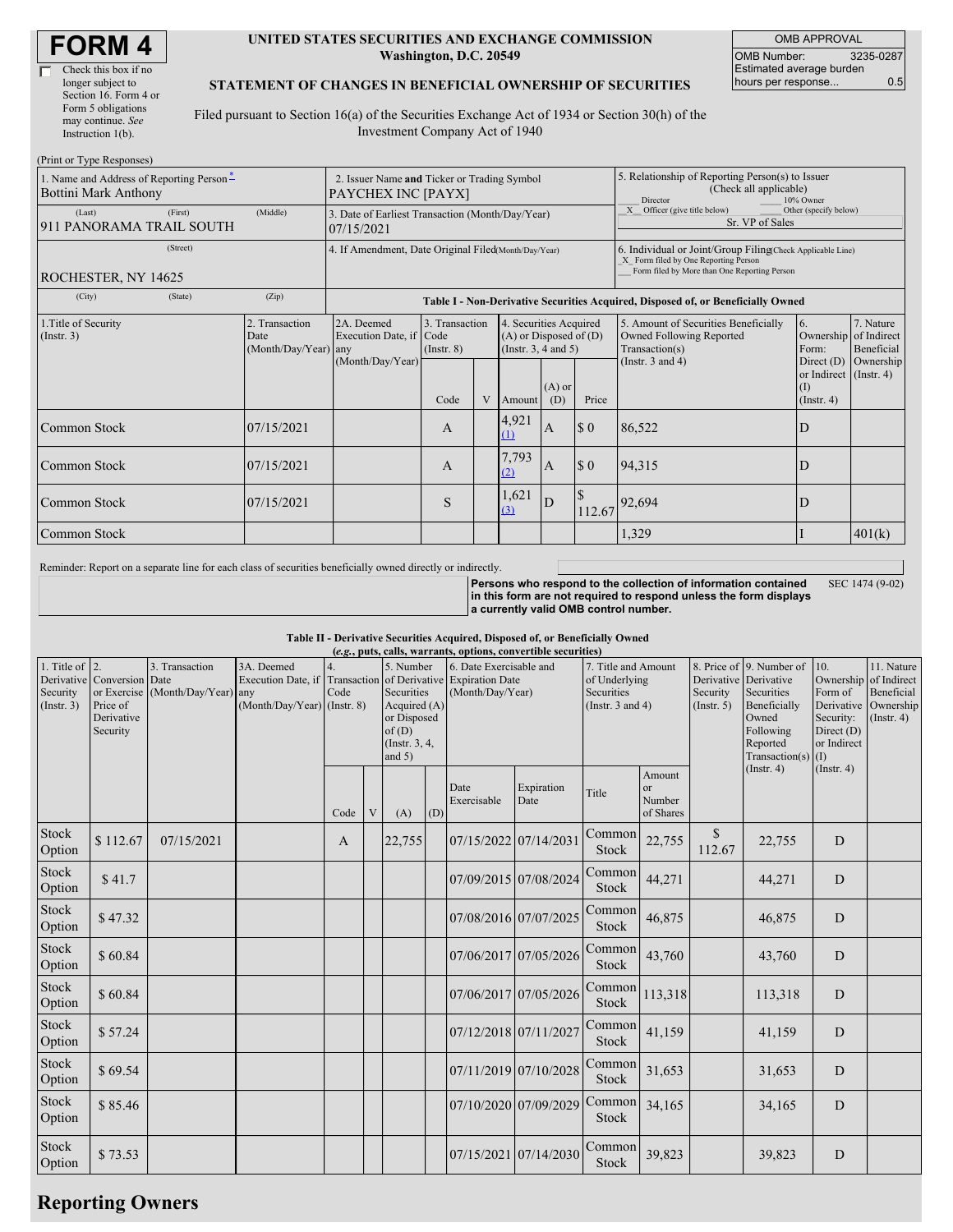#### **UNITED STATES SECURITIES AND EXCHANGE COMMISSION Washington, D.C. 20549**

OMB APPROVAL OMB Number: 3235-0287 Estimated average burden hours per response... 0.5

### **STATEMENT OF CHANGES IN BENEFICIAL OWNERSHIP OF SECURITIES**

Filed pursuant to Section 16(a) of the Securities Exchange Act of 1934 or Section 30(h) of the Investment Company Act of 1940

| (Print or Type Responses)                                               |                                                                   |                                                                                  |                                   |   |                                                                                  |                 |                                                                                                                                                    |                                                                                           |                                                              |                         |  |
|-------------------------------------------------------------------------|-------------------------------------------------------------------|----------------------------------------------------------------------------------|-----------------------------------|---|----------------------------------------------------------------------------------|-----------------|----------------------------------------------------------------------------------------------------------------------------------------------------|-------------------------------------------------------------------------------------------|--------------------------------------------------------------|-------------------------|--|
| 1. Name and Address of Reporting Person-<br><b>Bottini Mark Anthony</b> | 2. Issuer Name and Ticker or Trading Symbol<br>PAYCHEX INC [PAYX] |                                                                                  |                                   |   |                                                                                  |                 | 5. Relationship of Reporting Person(s) to Issuer<br>(Check all applicable)<br>10% Owner<br>Director                                                |                                                                                           |                                                              |                         |  |
| (First)<br>(Last)<br>911 PANORAMA TRAIL SOUTH                           | (Middle)                                                          | 3. Date of Earliest Transaction (Month/Day/Year)<br>07/15/2021                   |                                   |   |                                                                                  |                 |                                                                                                                                                    | X Officer (give title below)<br>Other (specify below)<br>Sr. VP of Sales                  |                                                              |                         |  |
| (Street)<br>ROCHESTER, NY 14625                                         | 4. If Amendment, Date Original Filed(Month/Day/Year)              |                                                                                  |                                   |   |                                                                                  |                 | 6. Individual or Joint/Group Filing(Check Applicable Line)<br>X Form filed by One Reporting Person<br>Form filed by More than One Reporting Person |                                                                                           |                                                              |                         |  |
| (City)<br>(State)                                                       | (Zip)                                                             | Table I - Non-Derivative Securities Acquired, Disposed of, or Beneficially Owned |                                   |   |                                                                                  |                 |                                                                                                                                                    |                                                                                           |                                                              |                         |  |
| 1. Title of Security<br>(Insert. 3)                                     | 2. Transaction<br>Date<br>(Month/Day/Year) any                    | 2A. Deemed<br>Execution Date, if Code<br>(Month/Day/Year)                        | 3. Transaction<br>$($ Instr. $8)$ |   | 4. Securities Acquired<br>$(A)$ or Disposed of $(D)$<br>(Instr. $3, 4$ and $5$ ) |                 |                                                                                                                                                    | 5. Amount of Securities Beneficially<br><b>Owned Following Reported</b><br>Transaction(s) | 6.<br>Ownership of Indirect<br>Form:                         | 7. Nature<br>Beneficial |  |
|                                                                         |                                                                   |                                                                                  | Code                              | V | Amount                                                                           | $(A)$ or<br>(D) | Price                                                                                                                                              | (Instr. $3$ and $4$ )                                                                     | Direct $(D)$<br>or Indirect (Instr. 4)<br>(1)<br>(Insert. 4) | Ownership               |  |
| Common Stock                                                            | 07/15/2021                                                        |                                                                                  | $\mathsf{A}$                      |   | 4,921<br>$\Omega$                                                                | $\mathbf{A}$    | \$0                                                                                                                                                | 86,522                                                                                    | D                                                            |                         |  |
| Common Stock                                                            | 07/15/2021                                                        |                                                                                  | $\mathbf{A}$                      |   | 7,793<br>(2)                                                                     | <sup>A</sup>    | \$0                                                                                                                                                | 94,315                                                                                    | D                                                            |                         |  |
| Common Stock                                                            | 07/15/2021                                                        |                                                                                  | S                                 |   | 1,621<br>(3)                                                                     | D               |                                                                                                                                                    | $112.67$ 92,694                                                                           | D                                                            |                         |  |
| Common Stock                                                            |                                                                   |                                                                                  |                                   |   |                                                                                  |                 |                                                                                                                                                    | 1,329                                                                                     |                                                              | 401(k)                  |  |

Reminder: Report on a separate line for each class of securities beneficially owned directly or indirectly.

SEC 1474 (9-02)

**Persons who respond to the collection of information contained in this form are not required to respond unless the form displays a currently valid OMB control number.**

### **Table II - Derivative Securities Acquired, Disposed of, or Beneficially Owned**

| (e.g., puts, calls, warrants, options, convertible securities) |                                                                  |                                                    |                                                                   |            |   |                                                                                                  |     |                                                                                          |                       |                                                                             |                                     |                                                  |                                                                                                                                |                                                                                                                  |                                                                          |
|----------------------------------------------------------------|------------------------------------------------------------------|----------------------------------------------------|-------------------------------------------------------------------|------------|---|--------------------------------------------------------------------------------------------------|-----|------------------------------------------------------------------------------------------|-----------------------|-----------------------------------------------------------------------------|-------------------------------------|--------------------------------------------------|--------------------------------------------------------------------------------------------------------------------------------|------------------------------------------------------------------------------------------------------------------|--------------------------------------------------------------------------|
| 1. Title of $ 2$ .<br>Security<br>(Insert. 3)                  | Derivative Conversion Date<br>Price of<br>Derivative<br>Security | 3. Transaction<br>or Exercise (Month/Day/Year) any | 3A. Deemed<br>Execution Date, if<br>$(Month/Day/Year)$ (Instr. 8) | 4.<br>Code |   | 5. Number<br>Securities<br>Acquired $(A)$<br>or Disposed<br>of(D)<br>(Instr. $3, 4,$<br>and $5)$ |     | 6. Date Exercisable and<br>Transaction of Derivative Expiration Date<br>(Month/Day/Year) |                       | 7. Title and Amount<br>of Underlying<br>Securities<br>(Instr. $3$ and $4$ ) |                                     | Derivative Derivative<br>Security<br>(Insert. 5) | 8. Price of 9. Number of<br>Securities<br>Beneficially<br>Owned<br>Following<br>Reported<br>Transaction(s)<br>$($ Instr. 4 $)$ | 10.<br>Ownership<br>Form of<br>Derivative<br>Security:<br>Direct $(D)$<br>or Indirect<br>(1)<br>$($ Instr. 4 $)$ | 11. Nature<br>of Indirect<br>Beneficial<br>Ownership<br>$($ Instr. 4 $)$ |
|                                                                |                                                                  |                                                    |                                                                   | Code       | V | (A)                                                                                              | (D) | Date<br>Exercisable                                                                      | Expiration<br>Date    | Title                                                                       | Amount<br>or<br>Number<br>of Shares |                                                  |                                                                                                                                |                                                                                                                  |                                                                          |
| Stock<br>Option                                                | \$112.67                                                         | 07/15/2021                                         |                                                                   | A          |   | 22,755                                                                                           |     | 07/15/2022 07/14/2031                                                                    |                       | Common<br>Stock                                                             | 22,755                              | <sup>\$</sup><br>112.67                          | 22,755                                                                                                                         | D                                                                                                                |                                                                          |
| Stock<br>Option                                                | \$41.7                                                           |                                                    |                                                                   |            |   |                                                                                                  |     | 07/09/2015 07/08/2024                                                                    |                       | Common<br>Stock                                                             | 44,271                              |                                                  | 44,271                                                                                                                         | D                                                                                                                |                                                                          |
| Stock<br>Option                                                | \$47.32                                                          |                                                    |                                                                   |            |   |                                                                                                  |     | 07/08/2016 07/07/2025                                                                    |                       | Common<br>Stock                                                             | 46,875                              |                                                  | 46,875                                                                                                                         | D                                                                                                                |                                                                          |
| Stock<br>Option                                                | \$60.84                                                          |                                                    |                                                                   |            |   |                                                                                                  |     |                                                                                          | 07/06/2017 07/05/2026 | Common<br>Stock                                                             | 43,760                              |                                                  | 43,760                                                                                                                         | $\mathbf D$                                                                                                      |                                                                          |
| Stock<br>Option                                                | \$60.84                                                          |                                                    |                                                                   |            |   |                                                                                                  |     |                                                                                          | 07/06/2017 07/05/2026 | Common<br>Stock                                                             | 113,318                             |                                                  | 113,318                                                                                                                        | D                                                                                                                |                                                                          |
| Stock<br>Option                                                | \$57.24                                                          |                                                    |                                                                   |            |   |                                                                                                  |     | 07/12/2018 07/11/2027                                                                    |                       | Common<br>Stock                                                             | 41,159                              |                                                  | 41,159                                                                                                                         | D                                                                                                                |                                                                          |
| Stock<br>Option                                                | \$69.54                                                          |                                                    |                                                                   |            |   |                                                                                                  |     |                                                                                          | 07/11/2019 07/10/2028 | Common<br><b>Stock</b>                                                      | 31,653                              |                                                  | 31,653                                                                                                                         | D                                                                                                                |                                                                          |
| Stock<br>Option                                                | \$85.46                                                          |                                                    |                                                                   |            |   |                                                                                                  |     |                                                                                          | 07/10/2020 07/09/2029 | Common<br>Stock                                                             | 34,165                              |                                                  | 34,165                                                                                                                         | D                                                                                                                |                                                                          |
| Stock<br>Option                                                | \$73.53                                                          |                                                    |                                                                   |            |   |                                                                                                  |     | 07/15/2021 07/14/2030                                                                    |                       | Common<br>Stock                                                             | 39,823                              |                                                  | 39,823                                                                                                                         | D                                                                                                                |                                                                          |

# **Reporting Owners**